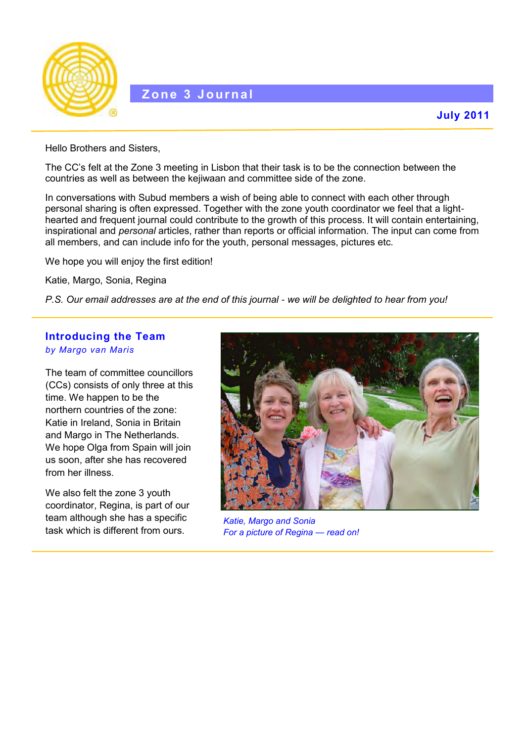

Hello Brothers and Sisters,

The CC's felt at the Zone 3 meeting in Lisbon that their task is to be the connection between the countries as well as between the kejiwaan and committee side of the zone.

In conversations with Subud members a wish of being able to connect with each other through personal sharing is often expressed. Together with the zone youth coordinator we feel that a lighthearted and frequent journal could contribute to the growth of this process. It will contain entertaining, inspirational and *personal* articles, rather than reports or official information. The input can come from all members, and can include info for the youth, personal messages, pictures etc.

We hope you will enjoy the first edition!

Katie, Margo, Sonia, Regina

*P.S. Our email addresses are at the end of this journal - we will be delighted to hear from you!*

#### **Introducing the Team** *by Margo van Maris*

The team of committee councillors (CCs) consists of only three at this time. We happen to be the northern countries of the zone: Katie in Ireland, Sonia in Britain and Margo in The Netherlands. We hope Olga from Spain will join us soon, after she has recovered from her illness.

We also felt the zone 3 youth coordinator, Regina, is part of our team although she has a specific task which is different from ours.



*Katie, Margo and Sonia For a picture of Regina — read on!*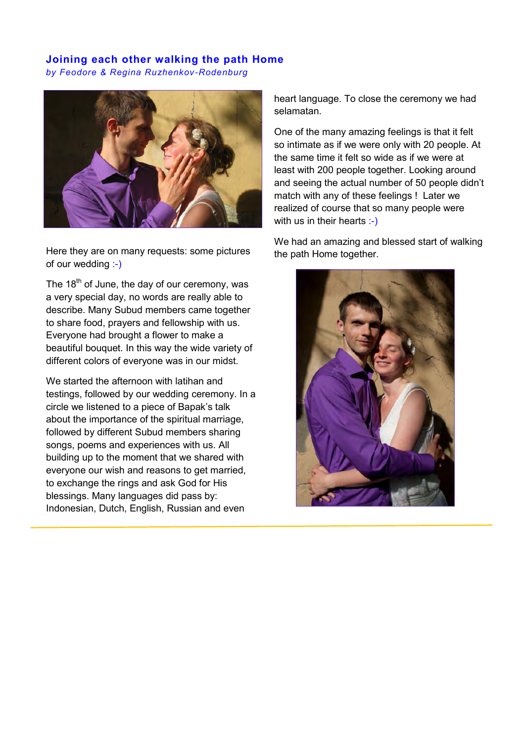## **Joining each other walking the path Home**

*by Feodore & Regina Ruzhenkov-Rodenburg*



Here they are on many requests: some pictures of our wedding :-)

The  $18<sup>th</sup>$  of June, the day of our ceremony, was a very special day, no words are really able to describe. Many Subud members came together to share food, prayers and fellowship with us. Everyone had brought a flower to make a beautiful bouquet. In this way the wide variety of different colors of everyone was in our midst.

We started the afternoon with latihan and testings, followed by our wedding ceremony. In a circle we listened to a piece of Bapak's talk about the importance of the spiritual marriage, followed by different Subud members sharing songs, poems and experiences with us. All building up to the moment that we shared with everyone our wish and reasons to get married, to exchange the rings and ask God for His blessings. Many languages did pass by: Indonesian, Dutch, English, Russian and even

heart language. To close the ceremony we had selamatan.

One of the many amazing feelings is that it felt so intimate as if we were only with 20 people. At the same time it felt so wide as if we were at least with 200 people together. Looking around and seeing the actual number of 50 people didn't match with any of these feelings ! Later we realized of course that so many people were with us in their hearts :-)

We had an amazing and blessed start of walking the path Home together.

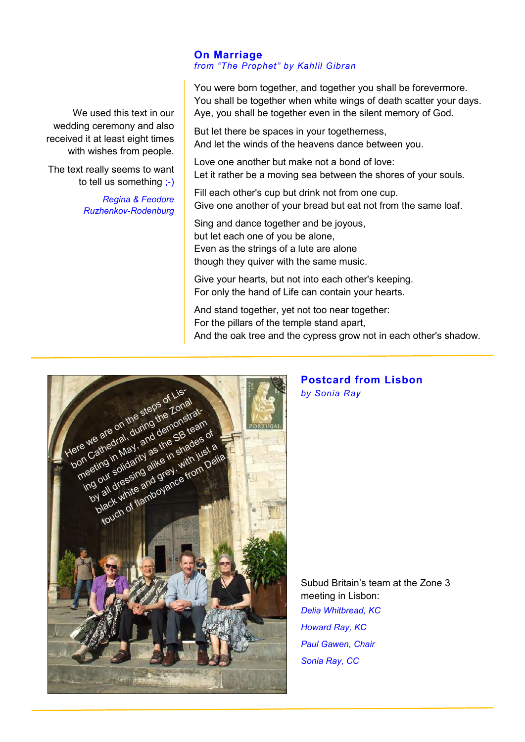#### **On Marriage**  *from "The Prophet" by Kahlil Gibran*

You were born together, and together you shall be forevermore. You shall be together when white wings of death scatter your days. Aye, you shall be together even in the silent memory of God.

But let there be spaces in your togetherness, And let the winds of the heavens dance between you.

Love one another but make not a bond of love: Let it rather be a moving sea between the shores of your souls.

Fill each other's cup but drink not from one cup. Give one another of your bread but eat not from the same loaf.

Sing and dance together and be joyous, but let each one of you be alone, Even as the strings of a lute are alone though they quiver with the same music.

Give your hearts, but not into each other's keeping. For only the hand of Life can contain your hearts.

And stand together, yet not too near together: For the pillars of the temple stand apart, And the oak tree and the cypress grow not in each other's shadow.



### **Postcard from Lisbon** *by Sonia Ray*

Subud Britain's team at the Zone 3 meeting in Lisbon: *Delia Whitbread, KC Howard Ray, KC Paul Gawen, Chair Sonia Ray, CC* 

We used this text in our wedding ceremony and also received it at least eight times with wishes from people.

The text really seems to want to tell us something ;-)

> *Regina & Feodore Ruzhenkov-Rodenburg*